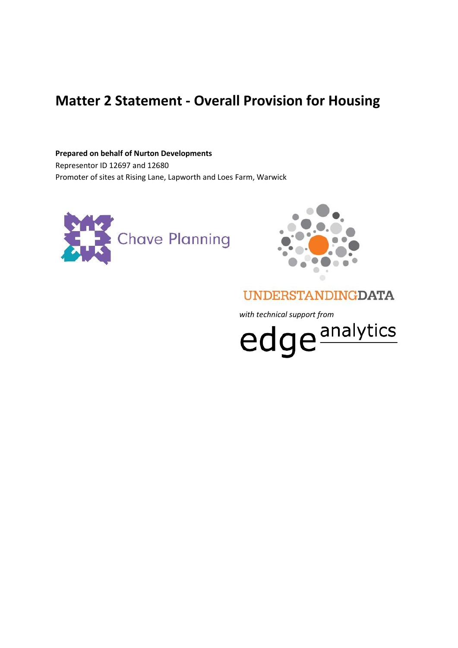# **Matter 2 Statement - Overall Provision for Housing**

**Prepared on behalf of Nurton Developments** Representor ID 12697 and 12680 Promoter of sites at Rising Lane, Lapworth and Loes Farm, Warwick





## **UNDERSTANDINGDATA**

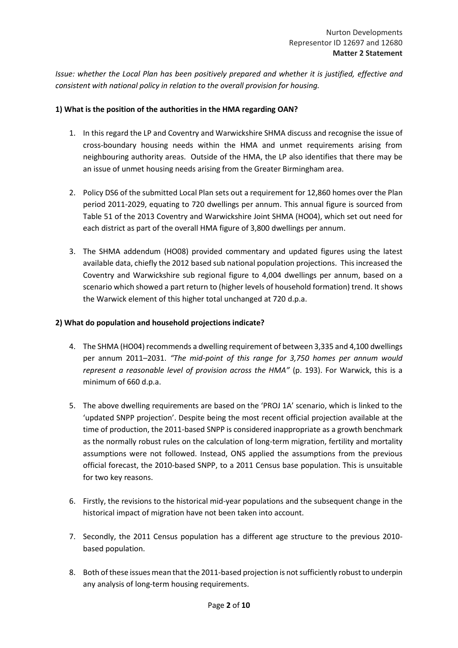*Issue: whether the Local Plan has been positively prepared and whether it is justified, effective and consistent with national policy in relation to the overall provision for housing.*

#### **1) What is the position of the authorities in the HMA regarding OAN?**

- 1. In this regard the LP and Coventry and Warwickshire SHMA discuss and recognise the issue of cross-boundary housing needs within the HMA and unmet requirements arising from neighbouring authority areas. Outside of the HMA, the LP also identifies that there may be an issue of unmet housing needs arising from the Greater Birmingham area.
- 2. Policy DS6 of the submitted Local Plan sets out a requirement for 12,860 homes over the Plan period 2011-2029, equating to 720 dwellings per annum. This annual figure is sourced from Table 51 of the 2013 Coventry and Warwickshire Joint SHMA (HO04), which set out need for each district as part of the overall HMA figure of 3,800 dwellings per annum.
- 3. The SHMA addendum (HO08) provided commentary and updated figures using the latest available data, chiefly the 2012 based sub national population projections. This increased the Coventry and Warwickshire sub regional figure to 4,004 dwellings per annum, based on a scenario which showed a part return to (higher levels of household formation) trend. It shows the Warwick element of this higher total unchanged at 720 d.p.a.

#### **2) What do population and household projections indicate?**

- 4. The SHMA (HO04) recommends a dwelling requirement of between 3,335 and 4,100 dwellings per annum 2011–2031. *"The mid-point of this range for 3,750 homes per annum would represent a reasonable level of provision across the HMA"* (p. 193). For Warwick, this is a minimum of 660 d.p.a.
- 5. The above dwelling requirements are based on the 'PROJ 1A' scenario, which is linked to the 'updated SNPP projection'. Despite being the most recent official projection available at the time of production, the 2011-based SNPP is considered inappropriate as a growth benchmark as the normally robust rules on the calculation of long-term migration, fertility and mortality assumptions were not followed. Instead, ONS applied the assumptions from the previous official forecast, the 2010-based SNPP, to a 2011 Census base population. This is unsuitable for two key reasons.
- 6. Firstly, the revisions to the historical mid-year populations and the subsequent change in the historical impact of migration have not been taken into account.
- 7. Secondly, the 2011 Census population has a different age structure to the previous 2010 based population.
- 8. Both of these issues mean that the 2011-based projection is not sufficiently robust to underpin any analysis of long-term housing requirements.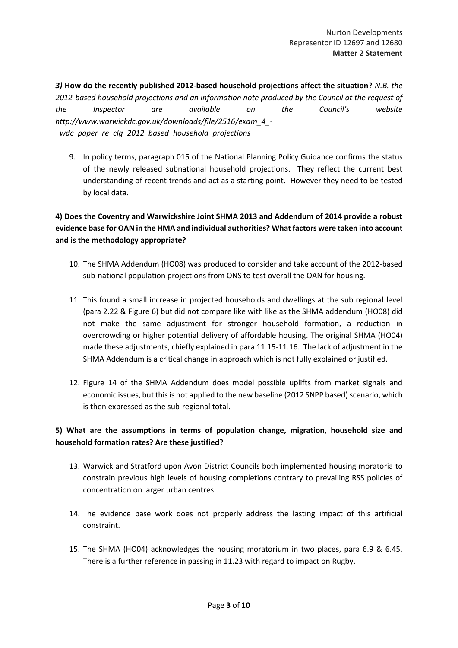*3)* **How do the recently published 2012-based household projections affect the situation?** *N.B. the 2012-based household projections and an information note produced by the Council at the request of the Inspector are available on the Council's website http://www.warwickdc.gov.uk/downloads/file/2516/exam\_4\_- \_wdc\_paper\_re\_clg\_2012\_based\_household\_projections* 

9. In policy terms, paragraph 015 of the National Planning Policy Guidance confirms the status of the newly released subnational household projections. They reflect the current best understanding of recent trends and act as a starting point. However they need to be tested by local data.

## **4) Does the Coventry and Warwickshire Joint SHMA 2013 and Addendum of 2014 provide a robust evidence base for OAN in the HMA and individual authorities? What factors were taken into account and is the methodology appropriate?**

- 10. The SHMA Addendum (HO08) was produced to consider and take account of the 2012-based sub-national population projections from ONS to test overall the OAN for housing.
- 11. This found a small increase in projected households and dwellings at the sub regional level (para 2.22 & Figure 6) but did not compare like with like as the SHMA addendum (HO08) did not make the same adjustment for stronger household formation, a reduction in overcrowding or higher potential delivery of affordable housing. The original SHMA (HO04) made these adjustments, chiefly explained in para 11.15-11.16. The lack of adjustment in the SHMA Addendum is a critical change in approach which is not fully explained or justified.
- 12. Figure 14 of the SHMA Addendum does model possible uplifts from market signals and economic issues, but this is not applied to the new baseline (2012 SNPP based) scenario, which is then expressed as the sub-regional total.

## **5) What are the assumptions in terms of population change, migration, household size and household formation rates? Are these justified?**

- 13. Warwick and Stratford upon Avon District Councils both implemented housing moratoria to constrain previous high levels of housing completions contrary to prevailing RSS policies of concentration on larger urban centres.
- 14. The evidence base work does not properly address the lasting impact of this artificial constraint.
- 15. The SHMA (HO04) acknowledges the housing moratorium in two places, para 6.9 & 6.45. There is a further reference in passing in 11.23 with regard to impact on Rugby.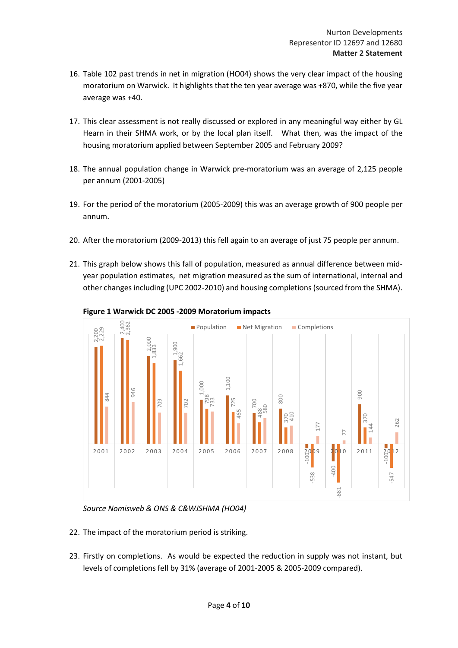- 16. Table 102 past trends in net in migration (HO04) shows the very clear impact of the housing moratorium on Warwick. It highlights that the ten year average was +870, while the five year average was +40.
- 17. This clear assessment is not really discussed or explored in any meaningful way either by GL Hearn in their SHMA work, or by the local plan itself. What then, was the impact of the housing moratorium applied between September 2005 and February 2009?
- 18. The annual population change in Warwick pre-moratorium was an average of 2,125 people per annum (2001-2005)
- 19. For the period of the moratorium (2005-2009) this was an average growth of 900 people per annum.
- 20. After the moratorium (2009-2013) this fell again to an average of just 75 people per annum.
- 21. This graph below shows this fall of population, measured as annual difference between midyear population estimates, net migration measured as the sum of international, internal and other changes including (UPC 2002-2010) and housing completions (sourced from the SHMA).



**Figure 1 Warwick DC 2005 -2009 Moratorium impacts**

*Source Nomisweb & ONS & C&WJSHMA (HO04)*

- 22. The impact of the moratorium period is striking.
- 23. Firstly on completions. As would be expected the reduction in supply was not instant, but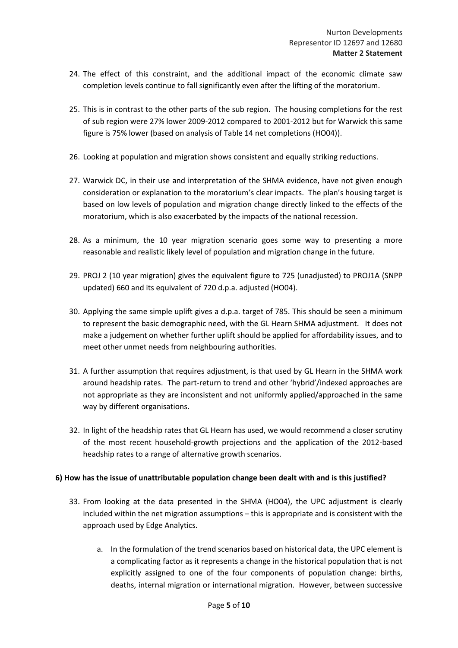- 24. The effect of this constraint, and the additional impact of the economic climate saw completion levels continue to fall significantly even after the lifting of the moratorium.
- 25. This is in contrast to the other parts of the sub region. The housing completions for the rest of sub region were 27% lower 2009-2012 compared to 2001-2012 but for Warwick this same figure is 75% lower (based on analysis of Table 14 net completions (HO04)).
- 26. Looking at population and migration shows consistent and equally striking reductions.
- 27. Warwick DC, in their use and interpretation of the SHMA evidence, have not given enough consideration or explanation to the moratorium's clear impacts. The plan's housing target is based on low levels of population and migration change directly linked to the effects of the moratorium, which is also exacerbated by the impacts of the national recession.
- 28. As a minimum, the 10 year migration scenario goes some way to presenting a more reasonable and realistic likely level of population and migration change in the future.
- 29. PROJ 2 (10 year migration) gives the equivalent figure to 725 (unadjusted) to PROJ1A (SNPP updated) 660 and its equivalent of 720 d.p.a. adjusted (HO04).
- 30. Applying the same simple uplift gives a d.p.a. target of 785. This should be seen a minimum to represent the basic demographic need, with the GL Hearn SHMA adjustment. It does not make a judgement on whether further uplift should be applied for affordability issues, and to meet other unmet needs from neighbouring authorities.
- 31. A further assumption that requires adjustment, is that used by GL Hearn in the SHMA work around headship rates. The part-return to trend and other 'hybrid'/indexed approaches are not appropriate as they are inconsistent and not uniformly applied/approached in the same way by different organisations.
- 32. In light of the headship rates that GL Hearn has used, we would recommend a closer scrutiny of the most recent household-growth projections and the application of the 2012-based headship rates to a range of alternative growth scenarios.

#### **6) How has the issue of unattributable population change been dealt with and is this justified?**

- 33. From looking at the data presented in the SHMA (HO04), the UPC adjustment is clearly included within the net migration assumptions – this is appropriate and is consistent with the approach used by Edge Analytics.
	- a. In the formulation of the trend scenarios based on historical data, the UPC element is a complicating factor as it represents a change in the historical population that is not explicitly assigned to one of the four components of population change: births, deaths, internal migration or international migration. However, between successive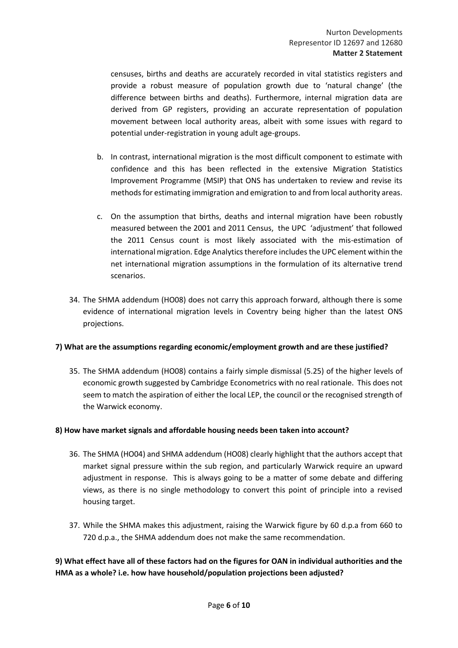censuses, births and deaths are accurately recorded in vital statistics registers and provide a robust measure of population growth due to 'natural change' (the difference between births and deaths). Furthermore, internal migration data are derived from GP registers, providing an accurate representation of population movement between local authority areas, albeit with some issues with regard to potential under-registration in young adult age-groups.

- b. In contrast, international migration is the most difficult component to estimate with confidence and this has been reflected in the extensive Migration Statistics Improvement Programme (MSIP) that ONS has undertaken to review and revise its methods for estimating immigration and emigration to and from local authority areas.
- c. On the assumption that births, deaths and internal migration have been robustly measured between the 2001 and 2011 Census, the UPC 'adjustment' that followed the 2011 Census count is most likely associated with the mis-estimation of international migration. Edge Analytics therefore includes the UPC element within the net international migration assumptions in the formulation of its alternative trend scenarios.
- 34. The SHMA addendum (HO08) does not carry this approach forward, although there is some evidence of international migration levels in Coventry being higher than the latest ONS projections.

#### **7) What are the assumptions regarding economic/employment growth and are these justified?**

35. The SHMA addendum (HO08) contains a fairly simple dismissal (5.25) of the higher levels of economic growth suggested by Cambridge Econometrics with no real rationale. This does not seem to match the aspiration of either the local LEP, the council or the recognised strength of the Warwick economy.

#### **8) How have market signals and affordable housing needs been taken into account?**

- 36. The SHMA (HO04) and SHMA addendum (HO08) clearly highlight that the authors accept that market signal pressure within the sub region, and particularly Warwick require an upward adjustment in response. This is always going to be a matter of some debate and differing views, as there is no single methodology to convert this point of principle into a revised housing target.
- 37. While the SHMA makes this adjustment, raising the Warwick figure by 60 d.p.a from 660 to 720 d.p.a., the SHMA addendum does not make the same recommendation.

**9) What effect have all of these factors had on the figures for OAN in individual authorities and the HMA as a whole? i.e. how have household/population projections been adjusted?**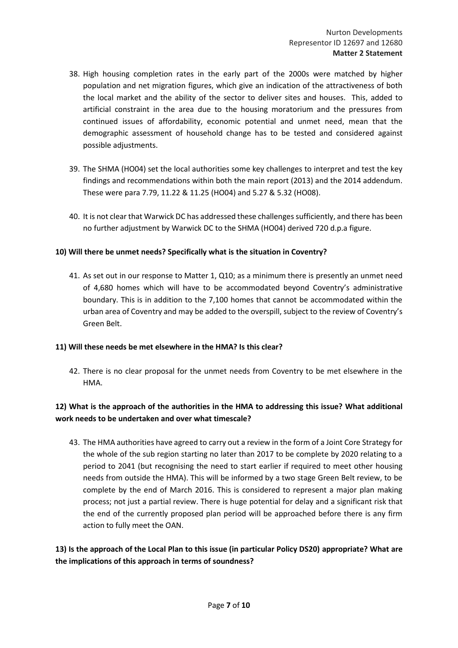- 38. High housing completion rates in the early part of the 2000s were matched by higher population and net migration figures, which give an indication of the attractiveness of both the local market and the ability of the sector to deliver sites and houses. This, added to artificial constraint in the area due to the housing moratorium and the pressures from continued issues of affordability, economic potential and unmet need, mean that the demographic assessment of household change has to be tested and considered against possible adjustments.
- 39. The SHMA (HO04) set the local authorities some key challenges to interpret and test the key findings and recommendations within both the main report (2013) and the 2014 addendum. These were para 7.79, 11.22 & 11.25 (HO04) and 5.27 & 5.32 (HO08).
- 40. It is not clear that Warwick DC has addressed these challenges sufficiently, and there has been no further adjustment by Warwick DC to the SHMA (HO04) derived 720 d.p.a figure.

#### **10) Will there be unmet needs? Specifically what is the situation in Coventry?**

41. As set out in our response to Matter 1, Q10; as a minimum there is presently an unmet need of 4,680 homes which will have to be accommodated beyond Coventry's administrative boundary. This is in addition to the 7,100 homes that cannot be accommodated within the urban area of Coventry and may be added to the overspill, subject to the review of Coventry's Green Belt.

#### **11) Will these needs be met elsewhere in the HMA? Is this clear?**

42. There is no clear proposal for the unmet needs from Coventry to be met elsewhere in the HMA.

## **12) What is the approach of the authorities in the HMA to addressing this issue? What additional work needs to be undertaken and over what timescale?**

43. The HMA authorities have agreed to carry out a review in the form of a Joint Core Strategy for the whole of the sub region starting no later than 2017 to be complete by 2020 relating to a period to 2041 (but recognising the need to start earlier if required to meet other housing needs from outside the HMA). This will be informed by a two stage Green Belt review, to be complete by the end of March 2016. This is considered to represent a major plan making process; not just a partial review. There is huge potential for delay and a significant risk that the end of the currently proposed plan period will be approached before there is any firm action to fully meet the OAN.

#### **13) Is the approach of the Local Plan to this issue (in particular Policy DS20) appropriate? What are the implications of this approach in terms of soundness?**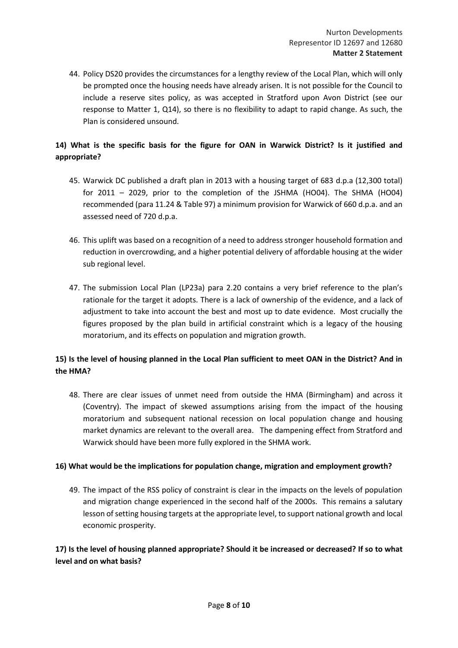44. Policy DS20 provides the circumstances for a lengthy review of the Local Plan, which will only be prompted once the housing needs have already arisen. It is not possible for the Council to include a reserve sites policy, as was accepted in Stratford upon Avon District (see our response to Matter 1, Q14), so there is no flexibility to adapt to rapid change. As such, the Plan is considered unsound.

## **14) What is the specific basis for the figure for OAN in Warwick District? Is it justified and appropriate?**

- 45. Warwick DC published a draft plan in 2013 with a housing target of 683 d.p.a (12,300 total) for 2011 – 2029, prior to the completion of the JSHMA (HO04). The SHMA (HO04) recommended (para 11.24 & Table 97) a minimum provision for Warwick of 660 d.p.a. and an assessed need of 720 d.p.a.
- 46. This uplift was based on a recognition of a need to address stronger household formation and reduction in overcrowding, and a higher potential delivery of affordable housing at the wider sub regional level.
- 47. The submission Local Plan (LP23a) para 2.20 contains a very brief reference to the plan's rationale for the target it adopts. There is a lack of ownership of the evidence, and a lack of adjustment to take into account the best and most up to date evidence. Most crucially the figures proposed by the plan build in artificial constraint which is a legacy of the housing moratorium, and its effects on population and migration growth.

## **15) Is the level of housing planned in the Local Plan sufficient to meet OAN in the District? And in the HMA?**

48. There are clear issues of unmet need from outside the HMA (Birmingham) and across it (Coventry). The impact of skewed assumptions arising from the impact of the housing moratorium and subsequent national recession on local population change and housing market dynamics are relevant to the overall area. The dampening effect from Stratford and Warwick should have been more fully explored in the SHMA work.

#### **16) What would be the implications for population change, migration and employment growth?**

49. The impact of the RSS policy of constraint is clear in the impacts on the levels of population and migration change experienced in the second half of the 2000s. This remains a salutary lesson of setting housing targets at the appropriate level, to support national growth and local economic prosperity.

## **17) Is the level of housing planned appropriate? Should it be increased or decreased? If so to what level and on what basis?**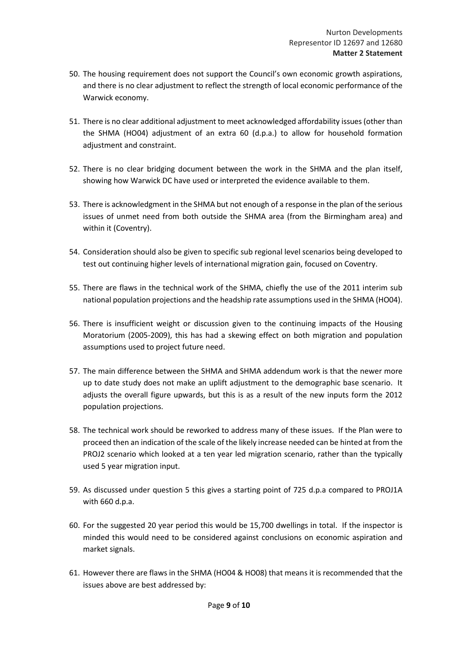- 50. The housing requirement does not support the Council's own economic growth aspirations, and there is no clear adjustment to reflect the strength of local economic performance of the Warwick economy.
- 51. There is no clear additional adjustment to meet acknowledged affordability issues (other than the SHMA (HO04) adjustment of an extra 60 (d.p.a.) to allow for household formation adjustment and constraint.
- 52. There is no clear bridging document between the work in the SHMA and the plan itself, showing how Warwick DC have used or interpreted the evidence available to them.
- 53. There is acknowledgment in the SHMA but not enough of a response in the plan of the serious issues of unmet need from both outside the SHMA area (from the Birmingham area) and within it (Coventry).
- 54. Consideration should also be given to specific sub regional level scenarios being developed to test out continuing higher levels of international migration gain, focused on Coventry.
- 55. There are flaws in the technical work of the SHMA, chiefly the use of the 2011 interim sub national population projections and the headship rate assumptions used in the SHMA (HO04).
- 56. There is insufficient weight or discussion given to the continuing impacts of the Housing Moratorium (2005-2009), this has had a skewing effect on both migration and population assumptions used to project future need.
- 57. The main difference between the SHMA and SHMA addendum work is that the newer more up to date study does not make an uplift adjustment to the demographic base scenario. It adjusts the overall figure upwards, but this is as a result of the new inputs form the 2012 population projections.
- 58. The technical work should be reworked to address many of these issues. If the Plan were to proceed then an indication of the scale of the likely increase needed can be hinted at from the PROJ2 scenario which looked at a ten year led migration scenario, rather than the typically used 5 year migration input.
- 59. As discussed under question 5 this gives a starting point of 725 d.p.a compared to PROJ1A with 660 d.p.a.
- 60. For the suggested 20 year period this would be 15,700 dwellings in total. If the inspector is minded this would need to be considered against conclusions on economic aspiration and market signals.
- 61. However there are flaws in the SHMA (HO04 & HO08) that means it is recommended that the issues above are best addressed by: